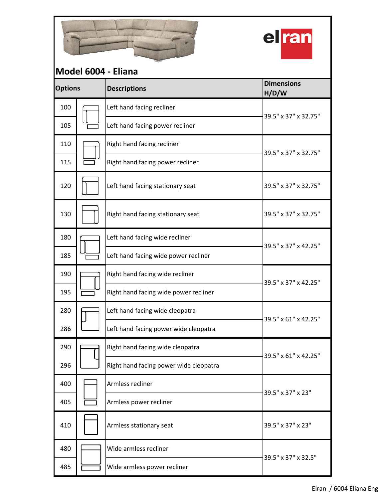



## **Descriptions Dimensions H/D/W** 100 | **Left hand facing recliner** 105 | **Left hand facing power recliner** 110  $\Box$  Right hand facing recliner 115  $\Box$  Right hand facing power recliner 120  $\begin{array}{|c|c|c|c|c|c|c|c|}\n\hline\n120 & \multicolumn{1}{|c|}{\text{Left hand facing stationary seat}}\n\end{array}$  39.5" x 37" x 32.75" 130  $\begin{bmatrix} \end{bmatrix}$  Right hand facing stationary seat  $\begin{bmatrix} 39.5" \times 37" \times 32.75 \end{bmatrix}$ 180 |<a>[Left hand facing wide recliner 185 **EXECUTE:** Left hand facing wide power recliner 190 | Right hand facing wide recliner 195  $\sqrt{ }$  Right hand facing wide power recliner 280  $\sqrt{ }$  Left hand facing wide cleopatra 286 Left hand facing power wide cleopatra 290  $\sqrt{Right}$  Right hand facing wide cleopatra 296 | Right hand facing power wide cleopatra 400 |  $\Box$  Armless recliner 405 | **Fig.** Armless power recliner 410 Armless stationary seat 39.5" x 37" x 23" 480 Wide armless recliner 485 | Wide armless power recliner 39.5" x 37" x 32.75" **Model 6004 - Eliana Options** 39.5" x 37" x 32.75" 39.5" x 37" x 42.25" 39.5" x 37" x 42.25" 39.5" x 37" x 23" 39.5" x 61" x 42.25" 39.5" x 61" x 42.25" 39.5" x 37" x 32.5"